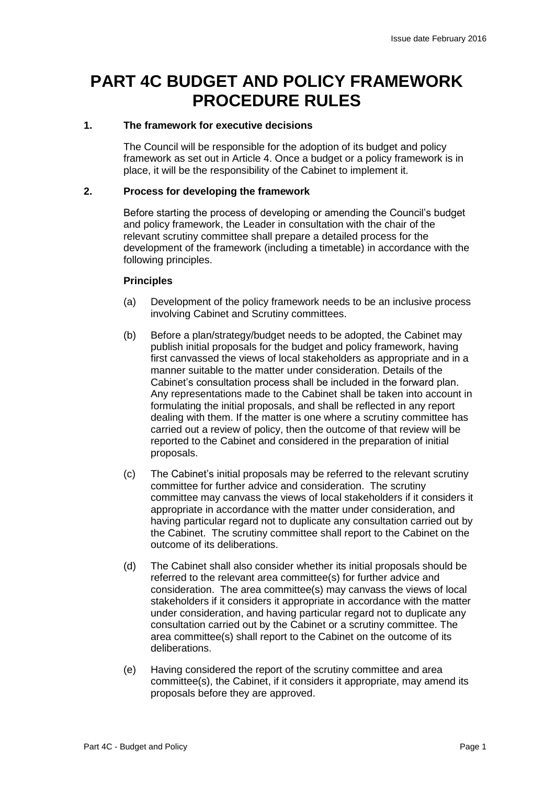# **PART 4C BUDGET AND POLICY FRAMEWORK PROCEDURE RULES**

## **1. The framework for executive decisions**

The Council will be responsible for the adoption of its budget and policy framework as set out in Article 4. Once a budget or a policy framework is in place, it will be the responsibility of the Cabinet to implement it.

#### **2. Process for developing the framework**

Before starting the process of developing or amending the Council's budget and policy framework, the Leader in consultation with the chair of the relevant scrutiny committee shall prepare a detailed process for the development of the framework (including a timetable) in accordance with the following principles.

## **Principles**

- (a) Development of the policy framework needs to be an inclusive process involving Cabinet and Scrutiny committees.
- (b) Before a plan/strategy/budget needs to be adopted, the Cabinet may publish initial proposals for the budget and policy framework, having first canvassed the views of local stakeholders as appropriate and in a manner suitable to the matter under consideration. Details of the Cabinet's consultation process shall be included in the forward plan. Any representations made to the Cabinet shall be taken into account in formulating the initial proposals, and shall be reflected in any report dealing with them. If the matter is one where a scrutiny committee has carried out a review of policy, then the outcome of that review will be reported to the Cabinet and considered in the preparation of initial proposals.
- (c) The Cabinet's initial proposals may be referred to the relevant scrutiny committee for further advice and consideration. The scrutiny committee may canvass the views of local stakeholders if it considers it appropriate in accordance with the matter under consideration, and having particular regard not to duplicate any consultation carried out by the Cabinet. The scrutiny committee shall report to the Cabinet on the outcome of its deliberations.
- (d) The Cabinet shall also consider whether its initial proposals should be referred to the relevant area committee(s) for further advice and consideration. The area committee(s) may canvass the views of local stakeholders if it considers it appropriate in accordance with the matter under consideration, and having particular regard not to duplicate any consultation carried out by the Cabinet or a scrutiny committee. The area committee(s) shall report to the Cabinet on the outcome of its deliberations.
- (e) Having considered the report of the scrutiny committee and area committee(s), the Cabinet, if it considers it appropriate, may amend its proposals before they are approved.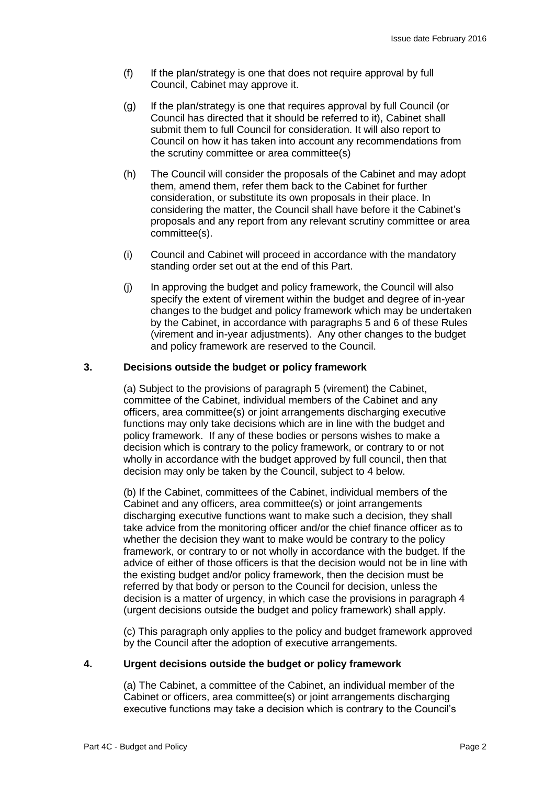- (f) If the plan/strategy is one that does not require approval by full Council, Cabinet may approve it.
- (g) If the plan/strategy is one that requires approval by full Council (or Council has directed that it should be referred to it), Cabinet shall submit them to full Council for consideration. It will also report to Council on how it has taken into account any recommendations from the scrutiny committee or area committee(s)
- (h) The Council will consider the proposals of the Cabinet and may adopt them, amend them, refer them back to the Cabinet for further consideration, or substitute its own proposals in their place. In considering the matter, the Council shall have before it the Cabinet's proposals and any report from any relevant scrutiny committee or area committee(s).
- (i) Council and Cabinet will proceed in accordance with the mandatory standing order set out at the end of this Part.
- (j) In approving the budget and policy framework, the Council will also specify the extent of virement within the budget and degree of in-year changes to the budget and policy framework which may be undertaken by the Cabinet, in accordance with paragraphs 5 and 6 of these Rules (virement and in-year adjustments). Any other changes to the budget and policy framework are reserved to the Council.

### **3. Decisions outside the budget or policy framework**

(a) Subject to the provisions of paragraph 5 (virement) the Cabinet, committee of the Cabinet, individual members of the Cabinet and any officers, area committee(s) or joint arrangements discharging executive functions may only take decisions which are in line with the budget and policy framework. If any of these bodies or persons wishes to make a decision which is contrary to the policy framework, or contrary to or not wholly in accordance with the budget approved by full council, then that decision may only be taken by the Council, subject to 4 below.

(b) If the Cabinet, committees of the Cabinet, individual members of the Cabinet and any officers, area committee(s) or joint arrangements discharging executive functions want to make such a decision, they shall take advice from the monitoring officer and/or the chief finance officer as to whether the decision they want to make would be contrary to the policy framework, or contrary to or not wholly in accordance with the budget. If the advice of either of those officers is that the decision would not be in line with the existing budget and/or policy framework, then the decision must be referred by that body or person to the Council for decision, unless the decision is a matter of urgency, in which case the provisions in paragraph 4 (urgent decisions outside the budget and policy framework) shall apply.

(c) This paragraph only applies to the policy and budget framework approved by the Council after the adoption of executive arrangements.

#### **4. Urgent decisions outside the budget or policy framework**

(a) The Cabinet, a committee of the Cabinet, an individual member of the Cabinet or officers, area committee(s) or joint arrangements discharging executive functions may take a decision which is contrary to the Council's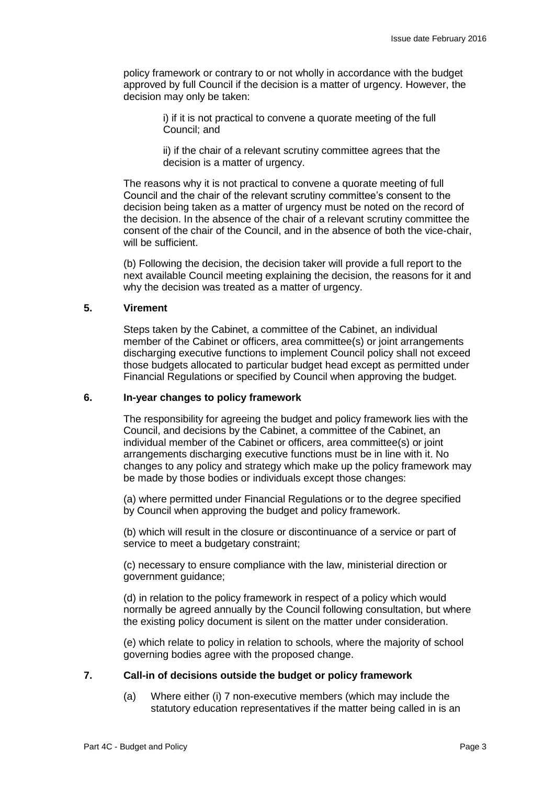policy framework or contrary to or not wholly in accordance with the budget approved by full Council if the decision is a matter of urgency. However, the decision may only be taken:

> i) if it is not practical to convene a quorate meeting of the full Council; and

ii) if the chair of a relevant scrutiny committee agrees that the decision is a matter of urgency.

The reasons why it is not practical to convene a quorate meeting of full Council and the chair of the relevant scrutiny committee's consent to the decision being taken as a matter of urgency must be noted on the record of the decision. In the absence of the chair of a relevant scrutiny committee the consent of the chair of the Council, and in the absence of both the vice-chair, will be sufficient.

(b) Following the decision, the decision taker will provide a full report to the next available Council meeting explaining the decision, the reasons for it and why the decision was treated as a matter of urgency.

## **5. Virement**

Steps taken by the Cabinet, a committee of the Cabinet, an individual member of the Cabinet or officers, area committee(s) or joint arrangements discharging executive functions to implement Council policy shall not exceed those budgets allocated to particular budget head except as permitted under Financial Regulations or specified by Council when approving the budget.

#### **6. In-year changes to policy framework**

The responsibility for agreeing the budget and policy framework lies with the Council, and decisions by the Cabinet, a committee of the Cabinet, an individual member of the Cabinet or officers, area committee(s) or joint arrangements discharging executive functions must be in line with it. No changes to any policy and strategy which make up the policy framework may be made by those bodies or individuals except those changes:

(a) where permitted under Financial Regulations or to the degree specified by Council when approving the budget and policy framework.

(b) which will result in the closure or discontinuance of a service or part of service to meet a budgetary constraint;

(c) necessary to ensure compliance with the law, ministerial direction or government guidance;

(d) in relation to the policy framework in respect of a policy which would normally be agreed annually by the Council following consultation, but where the existing policy document is silent on the matter under consideration.

(e) which relate to policy in relation to schools, where the majority of school governing bodies agree with the proposed change.

## **7. Call-in of decisions outside the budget or policy framework**

(a) Where either (i) 7 non-executive members (which may include the statutory education representatives if the matter being called in is an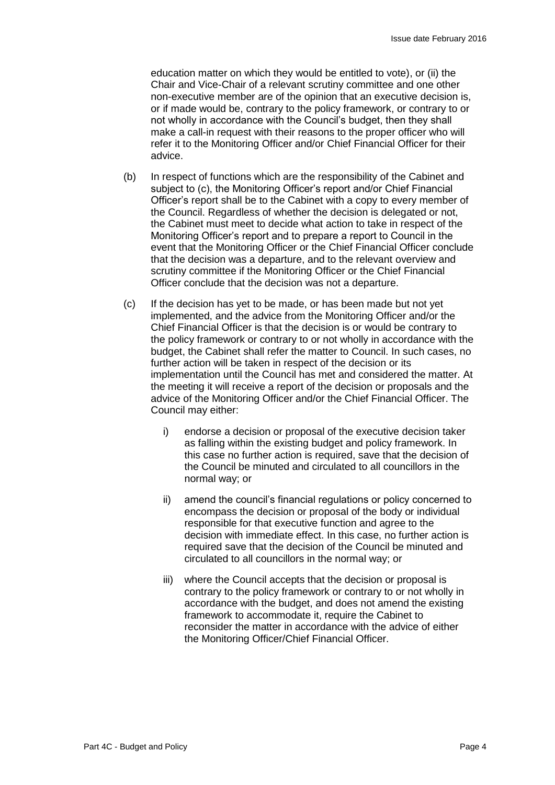education matter on which they would be entitled to vote), or (ii) the Chair and Vice-Chair of a relevant scrutiny committee and one other non-executive member are of the opinion that an executive decision is, or if made would be, contrary to the policy framework, or contrary to or not wholly in accordance with the Council's budget, then they shall make a call-in request with their reasons to the proper officer who will refer it to the Monitoring Officer and/or Chief Financial Officer for their advice.

- (b) In respect of functions which are the responsibility of the Cabinet and subject to (c), the Monitoring Officer's report and/or Chief Financial Officer's report shall be to the Cabinet with a copy to every member of the Council. Regardless of whether the decision is delegated or not, the Cabinet must meet to decide what action to take in respect of the Monitoring Officer's report and to prepare a report to Council in the event that the Monitoring Officer or the Chief Financial Officer conclude that the decision was a departure, and to the relevant overview and scrutiny committee if the Monitoring Officer or the Chief Financial Officer conclude that the decision was not a departure.
- (c) If the decision has yet to be made, or has been made but not yet implemented, and the advice from the Monitoring Officer and/or the Chief Financial Officer is that the decision is or would be contrary to the policy framework or contrary to or not wholly in accordance with the budget, the Cabinet shall refer the matter to Council. In such cases, no further action will be taken in respect of the decision or its implementation until the Council has met and considered the matter. At the meeting it will receive a report of the decision or proposals and the advice of the Monitoring Officer and/or the Chief Financial Officer. The Council may either:
	- i) endorse a decision or proposal of the executive decision taker as falling within the existing budget and policy framework. In this case no further action is required, save that the decision of the Council be minuted and circulated to all councillors in the normal way; or
	- ii) amend the council's financial regulations or policy concerned to encompass the decision or proposal of the body or individual responsible for that executive function and agree to the decision with immediate effect. In this case, no further action is required save that the decision of the Council be minuted and circulated to all councillors in the normal way; or
	- iii) where the Council accepts that the decision or proposal is contrary to the policy framework or contrary to or not wholly in accordance with the budget, and does not amend the existing framework to accommodate it, require the Cabinet to reconsider the matter in accordance with the advice of either the Monitoring Officer/Chief Financial Officer.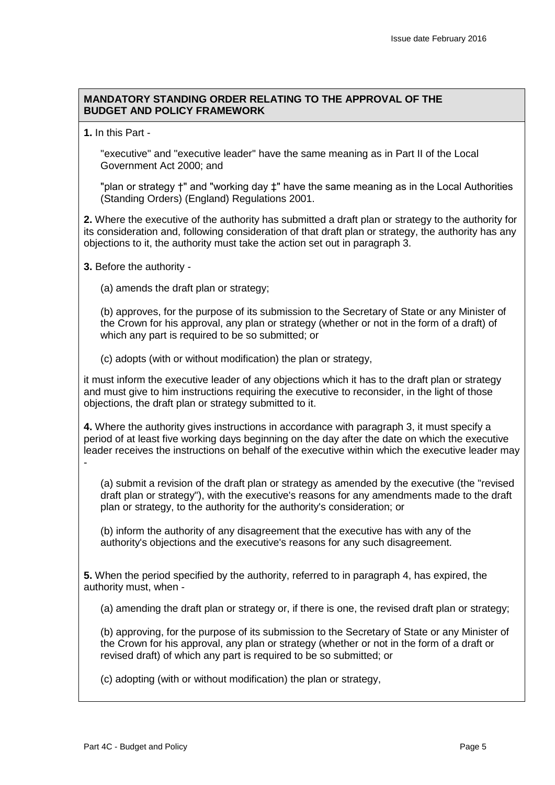## **MANDATORY STANDING ORDER RELATING TO THE APPROVAL OF THE BUDGET AND POLICY FRAMEWORK**

**1.** In this Part -

"executive" and "executive leader" have the same meaning as in Part II of the Local Government Act 2000; and

"plan or strategy †" and "working day ‡" have the same meaning as in the Local Authorities (Standing Orders) (England) Regulations 2001.

**2.** Where the executive of the authority has submitted a draft plan or strategy to the authority for its consideration and, following consideration of that draft plan or strategy, the authority has any objections to it, the authority must take the action set out in paragraph 3.

**3.** Before the authority -

(a) amends the draft plan or strategy;

(b) approves, for the purpose of its submission to the Secretary of State or any Minister of the Crown for his approval, any plan or strategy (whether or not in the form of a draft) of which any part is required to be so submitted; or

(c) adopts (with or without modification) the plan or strategy,

it must inform the executive leader of any objections which it has to the draft plan or strategy and must give to him instructions requiring the executive to reconsider, in the light of those objections, the draft plan or strategy submitted to it.

**4.** Where the authority gives instructions in accordance with paragraph 3, it must specify a period of at least five working days beginning on the day after the date on which the executive leader receives the instructions on behalf of the executive within which the executive leader may -

(a) submit a revision of the draft plan or strategy as amended by the executive (the "revised draft plan or strategy"), with the executive's reasons for any amendments made to the draft plan or strategy, to the authority for the authority's consideration; or

(b) inform the authority of any disagreement that the executive has with any of the authority's objections and the executive's reasons for any such disagreement.

**5.** When the period specified by the authority, referred to in paragraph 4, has expired, the authority must, when -

(a) amending the draft plan or strategy or, if there is one, the revised draft plan or strategy;

(b) approving, for the purpose of its submission to the Secretary of State or any Minister of the Crown for his approval, any plan or strategy (whether or not in the form of a draft or revised draft) of which any part is required to be so submitted; or

(c) adopting (with or without modification) the plan or strategy,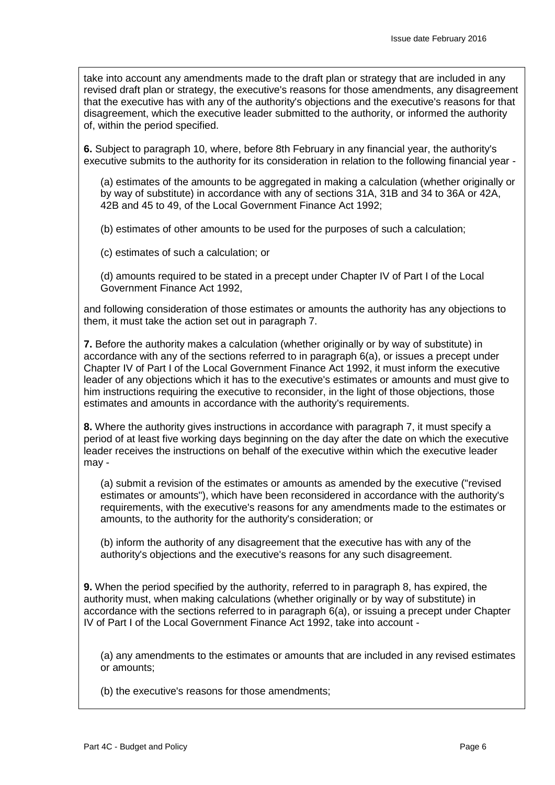take into account any amendments made to the draft plan or strategy that are included in any revised draft plan or strategy, the executive's reasons for those amendments, any disagreement that the executive has with any of the authority's objections and the executive's reasons for that disagreement, which the executive leader submitted to the authority, or informed the authority of, within the period specified.

**6.** Subject to paragraph 10, where, before 8th February in any financial year, the authority's executive submits to the authority for its consideration in relation to the following financial year -

(a) estimates of the amounts to be aggregated in making a calculation (whether originally or by way of substitute) in accordance with any of sections 31A, 31B and 34 to 36A or 42A, 42B and 45 to 49, of the Local Government Finance Act 1992;

(b) estimates of other amounts to be used for the purposes of such a calculation;

(c) estimates of such a calculation; or

(d) amounts required to be stated in a precept under Chapter IV of Part I of the Local Government Finance Act 1992,

and following consideration of those estimates or amounts the authority has any objections to them, it must take the action set out in paragraph 7.

**7.** Before the authority makes a calculation (whether originally or by way of substitute) in accordance with any of the sections referred to in paragraph 6(a), or issues a precept under Chapter IV of Part I of the Local Government Finance Act 1992, it must inform the executive leader of any objections which it has to the executive's estimates or amounts and must give to him instructions requiring the executive to reconsider, in the light of those objections, those estimates and amounts in accordance with the authority's requirements.

**8.** Where the authority gives instructions in accordance with paragraph 7, it must specify a period of at least five working days beginning on the day after the date on which the executive leader receives the instructions on behalf of the executive within which the executive leader may -

(a) submit a revision of the estimates or amounts as amended by the executive ("revised estimates or amounts"), which have been reconsidered in accordance with the authority's requirements, with the executive's reasons for any amendments made to the estimates or amounts, to the authority for the authority's consideration; or

(b) inform the authority of any disagreement that the executive has with any of the authority's objections and the executive's reasons for any such disagreement.

**9.** When the period specified by the authority, referred to in paragraph 8, has expired, the authority must, when making calculations (whether originally or by way of substitute) in accordance with the sections referred to in paragraph 6(a), or issuing a precept under Chapter IV of Part I of the Local Government Finance Act 1992, take into account -

(a) any amendments to the estimates or amounts that are included in any revised estimates or amounts;

(b) the executive's reasons for those amendments;